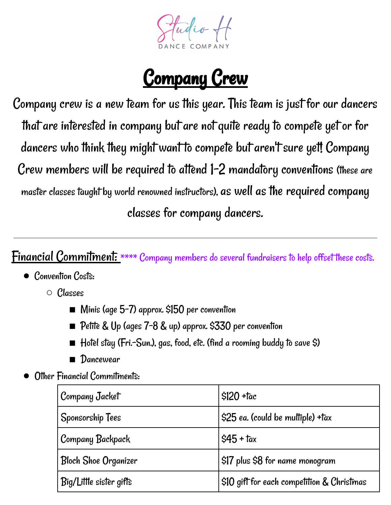Fudio +

## Company Crew

Company crew is a new team for us this year. This team is just for our dancers that are interested in company but are not quite ready to compete yet or for dancers who think they might want to compete but aren't sure yet! Company Crew members will be required to attend 1-2 mandatory conventions (these are master classes taught by world renowned instructors), as well as the required company classes for company dancers.

## **Financial Commitment:** \*\*\*\* Company members do several fundraisers to help offset these costs.

- Convention Costs:
	- Classes
		- Minis (age 5-7) approx. \$150 per convention
		- Petite & Up (ages 7-8 & up) approx. \$330 per convention
		- $\blacksquare$  Hotel stay (Fri.–Sun.), gas, food, etc. (find a rooming buddy to save \$)
		- Dancewear
- Other Financial Commitments:

| Company Jacket              | $$120 + \text{tac}$                         |
|-----------------------------|---------------------------------------------|
| Sponsorship Tees            | \$25 ea. (could be multiple) +tax           |
| Company Backpack            | $\frac{1}{2}$ \$45 + tax                    |
| <b>Bloch Shoe Organizer</b> | $$17$ plus \$8 for name monogram            |
| Big/Little sister gifts     | $$10$ gift for each competition & Christmas |